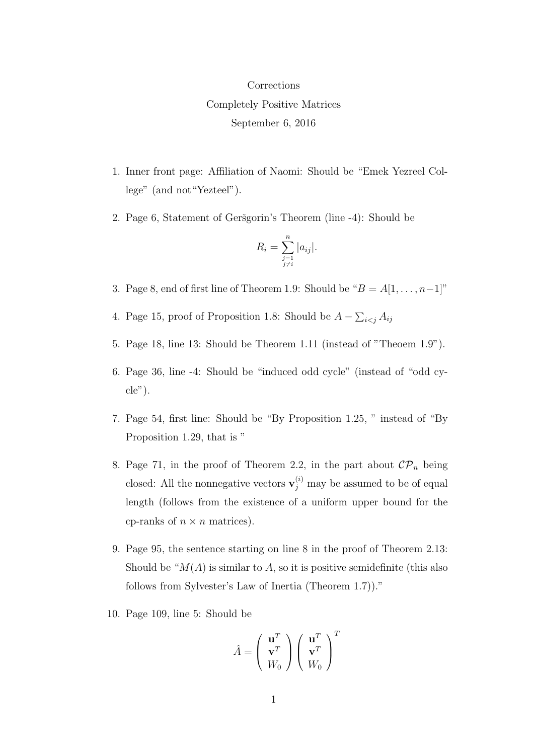## Corrections Completely Positive Matrices September 6, 2016

- 1. Inner front page: Affiliation of Naomi: Should be "Emek Yezreel College" (and not"Yezteel").
- 2. Page 6, Statement of Geršgorin's Theorem (line -4): Should be

$$
R_i = \sum_{\substack{j=1 \ j \neq i}}^n |a_{ij}|.
$$

- 3. Page 8, end of first line of Theorem 1.9: Should be " $B = A[1, \ldots, n-1]$ "
- 4. Page 15, proof of Proposition 1.8: Should be  $A \sum_{i < j} A_{ij}$
- 5. Page 18, line 13: Should be Theorem 1.11 (instead of "Theoem 1.9").
- 6. Page 36, line -4: Should be "induced odd cycle" (instead of "odd cycle").
- 7. Page 54, first line: Should be "By Proposition 1.25, " instead of "By Proposition 1.29, that is "
- 8. Page 71, in the proof of Theorem 2.2, in the part about  $\mathcal{CP}_n$  being closed: All the nonnegative vectors  $\mathbf{v}_j^{(i)}$  may be assumed to be of equal length (follows from the existence of a uniform upper bound for the cp-ranks of  $n \times n$  matrices).
- 9. Page 95, the sentence starting on line 8 in the proof of Theorem 2.13: Should be " $M(A)$  is similar to A, so it is positive semidefinite (this also follows from Sylvester's Law of Inertia (Theorem 1.7))."
- 10. Page 109, line 5: Should be

$$
\hat{A} = \left(\begin{array}{c} \mathbf{u}^T \\ \mathbf{v}^T \\ W_0 \end{array}\right) \left(\begin{array}{c} \mathbf{u}^T \\ \mathbf{v}^T \\ W_0 \end{array}\right)^T
$$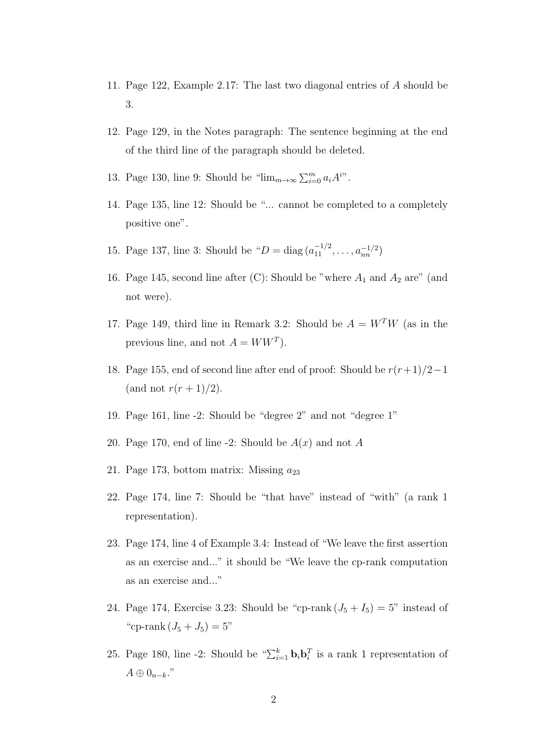- 11. Page 122, Example 2.17: The last two diagonal entries of A should be 3.
- 12. Page 129, in the Notes paragraph: The sentence beginning at the end of the third line of the paragraph should be deleted.
- 13. Page 130, line 9: Should be " $\lim_{m\to\infty}\sum_{i=0}^m a_i A^{i}$ ".
- 14. Page 135, line 12: Should be "... cannot be completed to a completely positive one".
- 15. Page 137, line 3: Should be " $D = \text{diag}(a_{11}^{-1/2}, \ldots, a_{nn}^{-1/2})$
- 16. Page 145, second line after (C): Should be "where  $A_1$  and  $A_2$  are" (and not were).
- 17. Page 149, third line in Remark 3.2: Should be  $A = W<sup>T</sup>W$  (as in the previous line, and not  $A = WW^T$ .
- 18. Page 155, end of second line after end of proof: Should be  $r(r+1)/2-1$ (and not  $r(r+1)/2$ ).
- 19. Page 161, line -2: Should be "degree 2" and not "degree 1"
- 20. Page 170, end of line -2: Should be  $A(x)$  and not A
- 21. Page 173, bottom matrix: Missing  $a_{23}$
- 22. Page 174, line 7: Should be "that have" instead of "with" (a rank 1 representation).
- 23. Page 174, line 4 of Example 3.4: Instead of "We leave the first assertion as an exercise and..." it should be "We leave the cp-rank computation as an exercise and..."
- 24. Page 174, Exercise 3.23: Should be "cp-rank  $(J_5 + I_5) = 5$ " instead of "cp-rank  $(J_5 + J_5) = 5$ "
- 25. Page 180, line -2: Should be " $\sum_{i=1}^{k} \mathbf{b}_i \mathbf{b}_i^T$  is a rank 1 representation of  $A \oplus 0_{n-k}$ ."